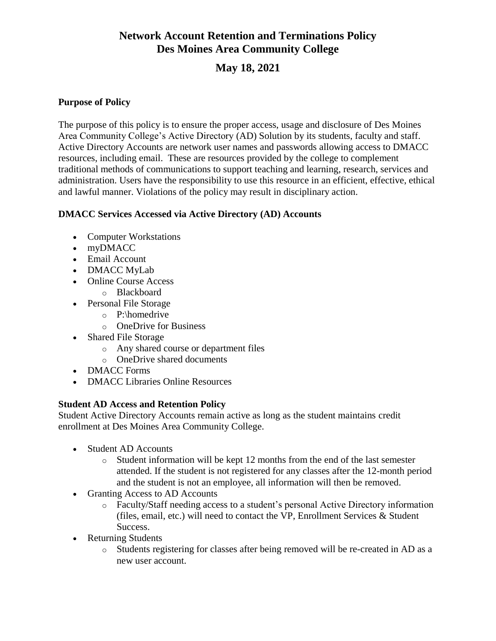# **Network Account Retention and Terminations Policy Des Moines Area Community College**

# **May 18, 2021**

#### **Purpose of Policy**

The purpose of this policy is to ensure the proper access, usage and disclosure of Des Moines Area Community College's Active Directory (AD) Solution by its students, faculty and staff. Active Directory Accounts are network user names and passwords allowing access to DMACC resources, including email. These are resources provided by the college to complement traditional methods of communications to support teaching and learning, research, services and administration. Users have the responsibility to use this resource in an efficient, effective, ethical and lawful manner. Violations of the policy may result in disciplinary action.

#### **DMACC Services Accessed via Active Directory (AD) Accounts**

- Computer Workstations
- myDMACC
- Email Account
- DMACC MyLab
- Online Course Access
	- o Blackboard
- Personal File Storage
	- o P:\homedrive
	- o OneDrive for Business
- Shared File Storage
	- o Any shared course or department files
	- o OneDrive shared documents
- DMACC Forms
- DMACC Libraries Online Resources

### **Student AD Access and Retention Policy**

Student Active Directory Accounts remain active as long as the student maintains credit enrollment at Des Moines Area Community College.

- Student AD Accounts
	- o Student information will be kept 12 months from the end of the last semester attended. If the student is not registered for any classes after the 12-month period and the student is not an employee, all information will then be removed.
- Granting Access to AD Accounts
	- o Faculty/Staff needing access to a student's personal Active Directory information (files, email, etc.) will need to contact the VP, Enrollment Services & Student Success.
- Returning Students
	- o Students registering for classes after being removed will be re-created in AD as a new user account.